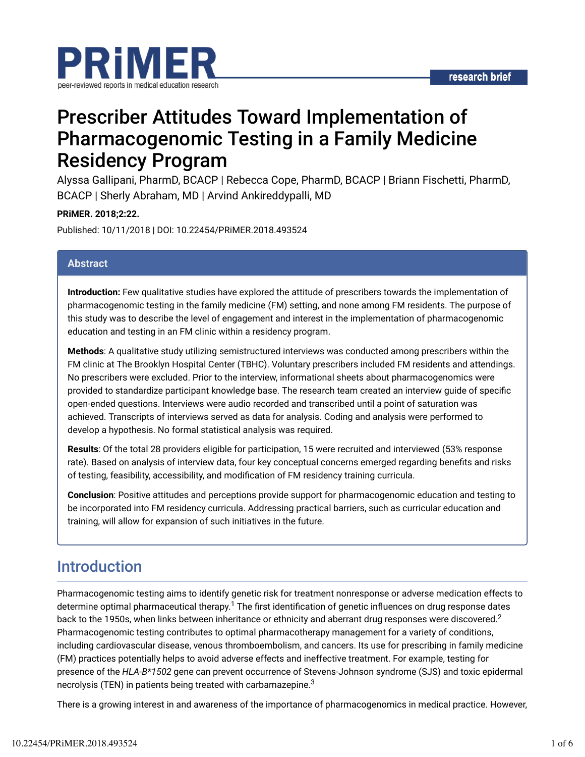

# Prescriber Attitudes Toward Implementation of Pharmacogenomic Testing in a Family Medicine Residency Program

Alyssa Gallipani, PharmD, BCACP | Rebecca Cope, PharmD, BCACP | Briann Fischetti, PharmD, BCACP | Sherly Abraham, MD | Arvind Ankireddypalli, MD

### **PRiMER. 2018;2:22.**

Published: 10/11/2018 | DOI: 10.22454/PRiMER.2018.493524

### **Abstract**

**Introduction:** Few qualitative studies have explored the attitude of prescribers towards the implementation of pharmacogenomic testing in the family medicine (FM) setting, and none among FM residents. The purpose of this study was to describe the level of engagement and interest in the implementation of pharmacogenomic education and testing in an FM clinic within a residency program.

**Methods**: A qualitative study utilizing semistructured interviews was conducted among prescribers within the FM clinic at The Brooklyn Hospital Center (TBHC). Voluntary prescribers included FM residents and attendings. No prescribers were excluded. Prior to the interview, informational sheets about pharmacogenomics were provided to standardize participant knowledge base. The research team created an interview quide of specific open-ended questions. Interviews were audio recorded and transcribed until a point of saturation was achieved. Transcripts of interviews served as data for analysis. Coding and analysis were performed to develop a hypothesis. No formal statistical analysis was required.

**Results**: Of the total 28 providers eligible for participation, 15 were recruited and interviewed (53% response rate). Based on analysis of interview data, four key conceptual concerns emerged regarding benefits and risks of testing, feasibility, accessibility, and modification of FM residency training curricula.

**Conclusion**: Positive attitudes and perceptions provide support for pharmacogenomic education and testing to be incorporated into FM residency curricula. Addressing practical barriers, such as curricular education and training, will allow for expansion of such initiatives in the future.

## Introduction

Pharmacogenomic testing aims to identify genetic risk for treatment nonresponse or adverse medication effects to determine optimal pharmaceutical therapy.<sup>1</sup> The first identification of genetic influences on drug response dates back to the 1950s, when links between inheritance or ethnicity and aberrant drug responses were discovered. $^2$ Pharmacogenomic testing contributes to optimal pharmacotherapy management for a variety of conditions, including cardiovascular disease, venous thromboembolism, and cancers. Its use for prescribing in family medicine (FM) practices potentially helps to avoid adverse effects and ineffective treatment. For example, testing for presence of the *HLA-B\*1502* gene can prevent occurrence of Stevens-Johnson syndrome (SJS) and toxic epidermal necrolysis (TEN) in patients being treated with carbamazepine. $^3$ 

There is a growing interest in and awareness of the importance of pharmacogenomics in medical practice. However,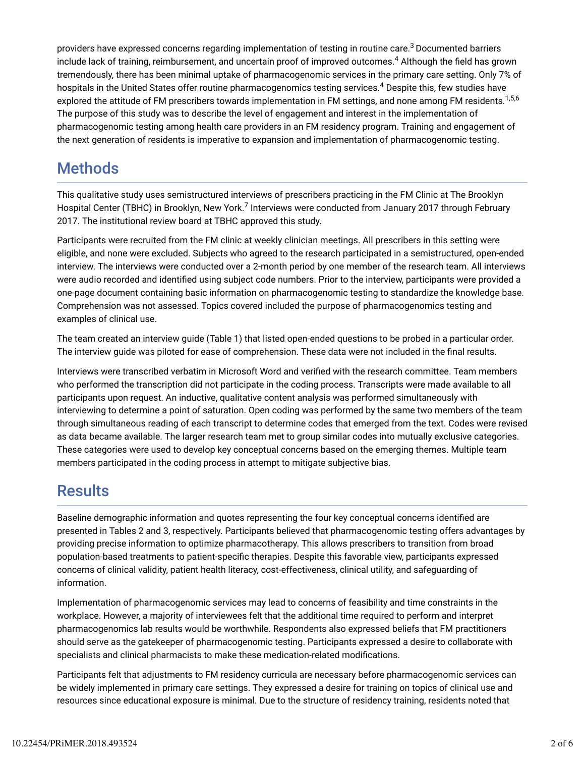providers have expressed concerns regarding implementation of testing in routine care. $^3$ Documented barriers include lack of training, reimbursement, and uncertain proof of improved outcomes.<sup>4</sup> Although the field has grown tremendously, there has been minimal uptake of pharmacogenomic services in the primary care setting. Only 7% of hospitals in the United States offer routine pharmacogenomics testing services.<sup>4</sup> Despite this, few studies have explored the attitude of FM prescribers towards implementation in FM settings, and none among FM residents.<sup>1,5,6</sup> The purpose of this study was to describe the level of engagement and interest in the implementation of pharmacogenomic testing among health care providers in an FM residency program. Training and engagement of the next generation of residents is imperative to expansion and implementation of pharmacogenomic testing.

## Methods

This qualitative study uses semistructured interviews of prescribers practicing in the FM Clinic at The Brooklyn Hospital Center (TBHC) in Brooklyn, New York.<sup>7</sup> Interviews were conducted from January 2017 through February 2017. The institutional review board at TBHC approved this study.

Participants were recruited from the FM clinic at weekly clinician meetings. All prescribers in this setting were eligible, and none were excluded. Subjects who agreed to the research participated in a semistructured, open-ended interview. The interviews were conducted over a 2-month period by one member of the research team. All interviews were audio recorded and identified using subject code numbers. Prior to the interview, participants were provided a one-page document containing basic information on pharmacogenomic testing to standardize the knowledge base. Comprehension was not assessed. Topics covered included the purpose of pharmacogenomics testing and examples of clinical use.

The team created an interview guide (Table 1) that listed open-ended questions to be probed in a particular order. The interview guide was piloted for ease of comprehension. These data were not included in the final results.

Interviews were transcribed verbatim in Microsoft Word and verified with the research committee. Team members who performed the transcription did not participate in the coding process. Transcripts were made available to all participants upon request. An inductive, qualitative content analysis was performed simultaneously with interviewing to determine a point of saturation. Open coding was performed by the same two members of the team through simultaneous reading of each transcript to determine codes that emerged from the text. Codes were revised as data became available. The larger research team met to group similar codes into mutually exclusive categories. These categories were used to develop key conceptual concerns based on the emerging themes. Multiple team members participated in the coding process in attempt to mitigate subjective bias.

## **Results**

Baseline demographic information and quotes representing the four key conceptual concerns identified are presented in Tables 2 and 3, respectively. Participants believed that pharmacogenomic testing offers advantages by providing precise information to optimize pharmacotherapy. This allows prescribers to transition from broad population-based treatments to patient-specific therapies. Despite this favorable view, participants expressed concerns of clinical validity, patient health literacy, cost-effectiveness, clinical utility, and safeguarding of information.

Implementation of pharmacogenomic services may lead to concerns of feasibility and time constraints in the workplace. However, a majority of interviewees felt that the additional time required to perform and interpret pharmacogenomics lab results would be worthwhile. Respondents also expressed beliefs that FM practitioners should serve as the gatekeeper of pharmacogenomic testing. Participants expressed a desire to collaborate with specialists and clinical pharmacists to make these medication-related modifications.

Participants felt that adjustments to FM residency curricula are necessary before pharmacogenomic services can be widely implemented in primary care settings. They expressed a desire for training on topics of clinical use and resources since educational exposure is minimal. Due to the structure of residency training, residents noted that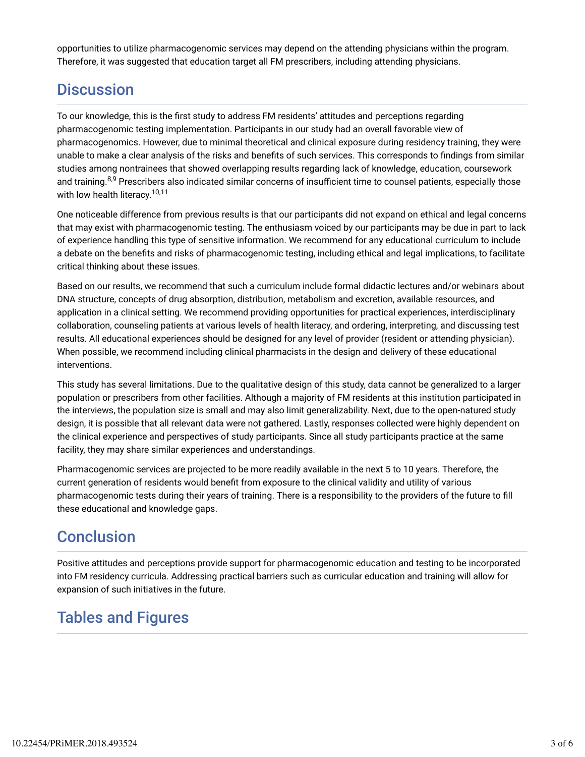opportunities to utilize pharmacogenomic services may depend on the attending physicians within the program. Therefore, it was suggested that education target all FM prescribers, including attending physicians.

## **Discussion**

To our knowledge, this is the first study to address FM residents' attitudes and perceptions regarding pharmacogenomic testing implementation. Participants in our study had an overall favorable view of pharmacogenomics. However, due to minimal theoretical and clinical exposure during residency training, they were unable to make a clear analysis of the risks and benefits of such services. This corresponds to findings from similar studies among nontrainees that showed overlapping results regarding lack of knowledge, education, coursework and training.<sup>8,9</sup> Prescribers also indicated similar concerns of insufficient time to counsel patients, especially those with low health literacy. 10,11

One noticeable difference from previous results is that our participants did not expand on ethical and legal concerns that may exist with pharmacogenomic testing. The enthusiasm voiced by our participants may be due in part to lack of experience handling this type of sensitive information. We recommend for any educational curriculum to include a debate on the benefits and risks of pharmacogenomic testing, including ethical and legal implications, to facilitate critical thinking about these issues.

Based on our results, we recommend that such a curriculum include formal didactic lectures and/or webinars about DNA structure, concepts of drug absorption, distribution, metabolism and excretion, available resources, and application in a clinical setting. We recommend providing opportunities for practical experiences, interdisciplinary collaboration, counseling patients at various levels of health literacy, and ordering, interpreting, and discussing test results. All educational experiences should be designed for any level of provider (resident or attending physician). When possible, we recommend including clinical pharmacists in the design and delivery of these educational interventions.

This study has several limitations. Due to the qualitative design of this study, data cannot be generalized to a larger population or prescribers from other facilities. Although a majority of FM residents at this institution participated in the interviews, the population size is small and may also limit generalizability. Next, due to the open-natured study design, it is possible that all relevant data were not gathered. Lastly, responses collected were highly dependent on the clinical experience and perspectives of study participants. Since all study participants practice at the same facility, they may share similar experiences and understandings.

Pharmacogenomic services are projected to be more readily available in the next 5 to 10 years. Therefore, the current generation of residents would benefit from exposure to the clinical validity and utility of various pharmacogenomic tests during their years of training. There is a responsibility to the providers of the future to fill these educational and knowledge gaps.

## **Conclusion**

Positive attitudes and perceptions provide support for pharmacogenomic education and testing to be incorporated into FM residency curricula. Addressing practical barriers such as curricular education and training will allow for expansion of such initiatives in the future.

## Tables and Figures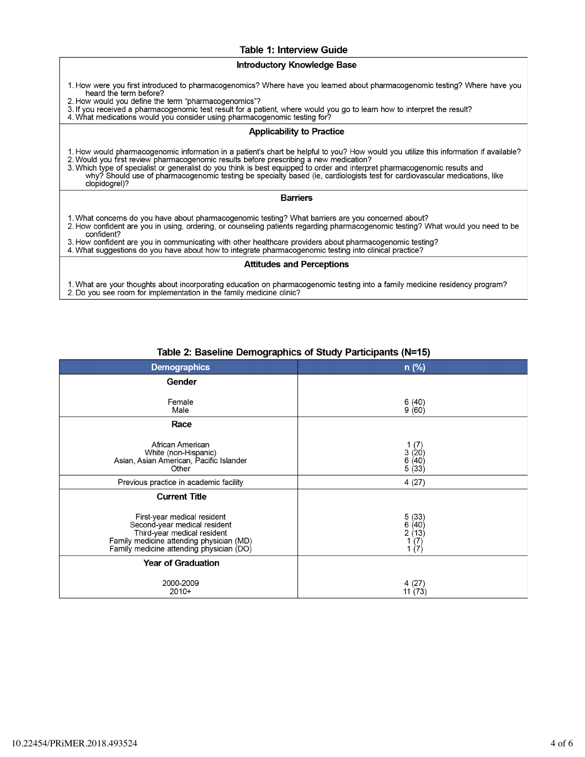### **Table 1: Interview Guide**

#### **Introductory Knowledge Base**

- 1. How were you first introduced to pharmacogenomics? Where have you learned about pharmacogenomic testing? Where have you heard the term before?
- 2. How would you define the term "pharmacogenomics"?
- 2.1 Fyou received a pharmacogenomic test result for a patient, where would you go to learn how to interpret the result?<br>4. What medications would you consider using pharmacogenomic testing for?
- 

#### **Applicability to Practice**

1. How would pharmacogenomic information in a patient's chart be helpful to you? How would you utilize this information if available?

2. Would you first review pharmacogenomic results before prescribing a new medication?<br>3. Which type of specialist or generalist do you think is best equipped to order and interpret pharmacogenomic results and<br>why? Should clopidogrel)?

#### **Barriers**

- 1. What concerns do you have about pharmacogenomic testing? What barriers are you concerned about?
- 2. How confident are you in using, ordering, or counseling patients regarding pharmacogenomic testing? What would you need to be confident?

3. How confident are you in communicating with other healthcare providers about pharmacogenomic testing?

4. What suggestions do you have about how to integrate pharmacogenomic testing into clinical practice?

#### **Attitudes and Perceptions**

1. What are your thoughts about incorporating education on pharmacogenomic testing into a family medicine residency program? 2. Do you see room for implementation in the family medicine clinic?

| $\blacksquare$ $\blacksquare$ $\blacksquare$ $\blacksquare$ $\blacksquare$ $\blacksquare$ $\blacksquare$ $\blacksquare$ $\blacksquare$ $\blacksquare$ $\blacksquare$ $\blacksquare$ $\blacksquare$ $\blacksquare$ $\blacksquare$ $\blacksquare$ $\blacksquare$ $\blacksquare$ $\blacksquare$ $\blacksquare$ $\blacksquare$ $\blacksquare$ $\blacksquare$ $\blacksquare$ $\blacksquare$ $\blacksquare$ $\blacksquare$ $\blacksquare$ $\blacksquare$ $\blacksquare$ $\blacksquare$ $\blacks$ |                                                               |
|--------------------------------------------------------------------------------------------------------------------------------------------------------------------------------------------------------------------------------------------------------------------------------------------------------------------------------------------------------------------------------------------------------------------------------------------------------------------------------------------|---------------------------------------------------------------|
| <b>Demographics</b>                                                                                                                                                                                                                                                                                                                                                                                                                                                                        | $n$ (%)                                                       |
| Gender                                                                                                                                                                                                                                                                                                                                                                                                                                                                                     |                                                               |
| Female<br>Male                                                                                                                                                                                                                                                                                                                                                                                                                                                                             | 6(40)<br>9(60)                                                |
| Race                                                                                                                                                                                                                                                                                                                                                                                                                                                                                       |                                                               |
| African American<br>White (non-Hispanic)<br>Asian, Asian American, Pacific Islander<br>Other                                                                                                                                                                                                                                                                                                                                                                                               | (7)<br>$\begin{array}{c} 3(20) \\ 6(40) \end{array}$<br>5(33) |
| Previous practice in academic facility                                                                                                                                                                                                                                                                                                                                                                                                                                                     | 4(27)                                                         |
| <b>Current Title</b>                                                                                                                                                                                                                                                                                                                                                                                                                                                                       |                                                               |
| First-year medical resident<br>Second-year medical resident<br>Third-year medical resident<br>Family medicine attending physician (MD)<br>Family medicine attending physician (DO)                                                                                                                                                                                                                                                                                                         | 5(33)<br>(40)<br>6<br>(13)<br>2<br>$\binom{7}{7}$             |
| <b>Year of Graduation</b>                                                                                                                                                                                                                                                                                                                                                                                                                                                                  |                                                               |
| 2000-2009<br>$2010+$                                                                                                                                                                                                                                                                                                                                                                                                                                                                       | 4(27)<br>11(73)                                               |

### Table 2: Baseline Demographics of Study Participants (N=15)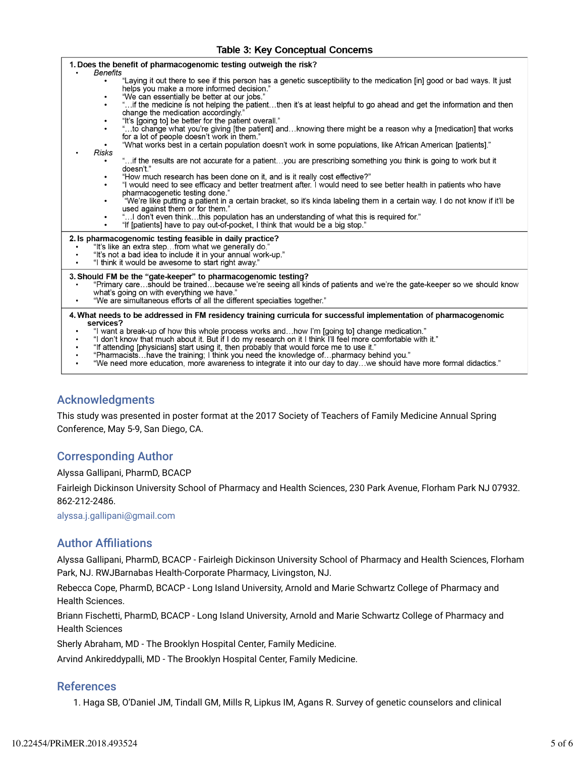### **Table 3: Key Conceptual Concerns**

| 1. Does the benefit of pharmacogenomic testing outweigh the risk?                                            |                                                                                                                                                                                   |
|--------------------------------------------------------------------------------------------------------------|-----------------------------------------------------------------------------------------------------------------------------------------------------------------------------------|
| Benefits                                                                                                     | "Laying it out there to see if this person has a genetic susceptibility to the medication [in] good or bad ways. It just                                                          |
|                                                                                                              | helps you make a more informed decision."                                                                                                                                         |
| $\bullet$<br>$\bullet$                                                                                       | "We can essentially be better at our jobs."                                                                                                                                       |
|                                                                                                              | "if the medicine is not helping the patientthen it's at least helpful to go ahead and get the information and then<br>change the medication accordingly."                         |
| ٠                                                                                                            | "It's [going to] be better for the patient overall."                                                                                                                              |
| $\bullet$                                                                                                    | '…to change what you're giving [the patient] and…knowing there might be a reason why a [medication] that works'<br>for a lot of people doesn't work in them."                     |
|                                                                                                              | "What works best in a certain population doesn't work in some populations, like African American [patients]."                                                                     |
| Risks                                                                                                        |                                                                                                                                                                                   |
| $\bullet$                                                                                                    | " if the results are not accurate for a patientyou are prescribing something you think is going to work but it<br>doesn't."                                                       |
| $\bullet$                                                                                                    | "How much research has been done on it, and is it really cost effective?"                                                                                                         |
| $\bullet$                                                                                                    | "I would need to see efficacy and better treatment after. I would need to see better health in patients who have                                                                  |
| $\bullet$                                                                                                    | pharmacogenetic testing done."<br>"We're like putting a patient in a certain bracket, so it's kinda labeling them in a certain way. I do not know if it'll be                     |
|                                                                                                              | used against them or for them."                                                                                                                                                   |
| $\bullet$<br>$\bullet$                                                                                       | " I don't even thinkthis population has an understanding of what this is required for."<br>"If [patients] have to pay out-of-pocket, I think that would be a big stop."           |
|                                                                                                              |                                                                                                                                                                                   |
|                                                                                                              | 2. Is pharmacogenomic testing feasible in daily practice?<br>"It's like an extra step from what we generally do."                                                                 |
|                                                                                                              | "It's not a bad idea to include it in your annual work-up."                                                                                                                       |
|                                                                                                              | "I think it would be awesome to start right away."                                                                                                                                |
|                                                                                                              | 3. Should FM be the "gate-keeper" to pharmacogenomic testing?                                                                                                                     |
|                                                                                                              | "Primary careshould be trainedbecause we're seeing all kinds of patients and we're the gate-keeper so we should know                                                              |
|                                                                                                              | what's going on with everything we have."<br>"We are simultaneous efforts of all the different specialties together."                                                             |
|                                                                                                              |                                                                                                                                                                                   |
| services?                                                                                                    | 4. What needs to be addressed in FM residency training curricula for successful implementation of pharmacogenomic                                                                 |
| "I want a break-up of how this whole process works andhow I'm [going to] change medication."                 |                                                                                                                                                                                   |
| "I don't know that much about it. But if I do my research on it I think I'll feel more comfortable with it." |                                                                                                                                                                                   |
|                                                                                                              | "If attending [physicians] start using it, then probably that would force me to use it."<br>"Pharmacistshave the training; I think you need the knowledge ofpharmacy behind you." |
|                                                                                                              |                                                                                                                                                                                   |

"We need more education, more awareness to integrate it into our day to day...we should have more formal didactics."

## Acknowledgments

This study was presented in poster format at the 2017 Society of Teachers of Family Medicine Annual Spring Conference, May 5-9, San Diego, CA.

## Corresponding Author

Alyssa Gallipani, PharmD, BCACP

Fairleigh Dickinson University School of Pharmacy and Health Sciences, 230 Park Avenue, Florham Park NJ 07932. 862-212-2486.

alyssa.j.gallipani@gmail.com

## **Author Affiliations**

Alyssa Gallipani, PharmD, BCACP - Fairleigh Dickinson University School of Pharmacy and Health Sciences, Florham Park, NJ. RWJBarnabas Health-Corporate Pharmacy, Livingston, NJ.

Rebecca Cope, PharmD, BCACP - Long Island University, Arnold and Marie Schwartz College of Pharmacy and Health Sciences.

Briann Fischetti, PharmD, BCACP - Long Island University, Arnold and Marie Schwartz College of Pharmacy and Health Sciences

Sherly Abraham, MD - The Brooklyn Hospital Center, Family Medicine.

Arvind Ankireddypalli, MD - The Brooklyn Hospital Center, Family Medicine.

## References

1. Haga SB, O'Daniel JM, Tindall GM, Mills R, Lipkus IM, Agans R. Survey of genetic counselors and clinical